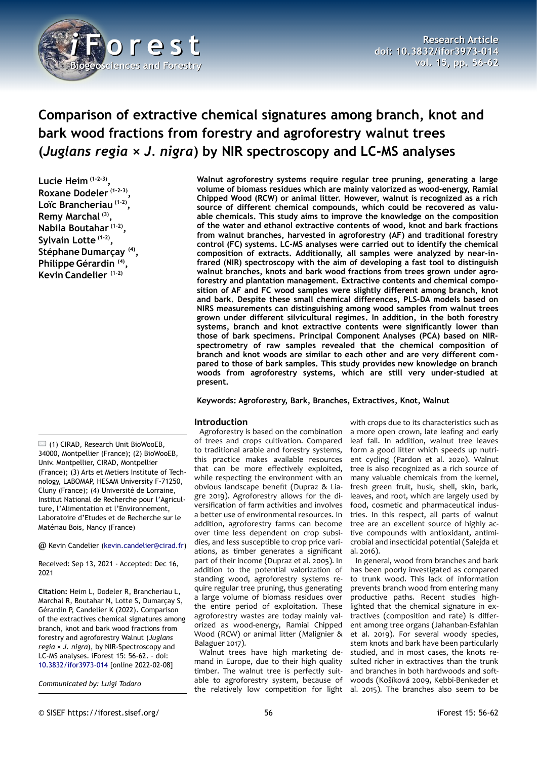

# **Comparison of extractive chemical signatures among branch, knot and bark wood fractions from forestry and agroforestry walnut trees (***Juglans regia* **×** *J. nigra***) by NIR spectroscopy and LC-MS analyses**

**Lucie Heim (1-2-3) , Roxane Dodeler (1-2-3) , Loïc Brancheriau (1-2) , Remy Marchal (3) , Nabila Boutahar (1-2) , Sylvain Lotte (1-2) , Stéphane Dumarçay (4) , Philippe Gérardin (4) , Kevin Candelier (1-2)**

(1) CIRAD, Research Unit BioWooEB, 34000, Montpellier (France); (2) BioWooEB, Univ. Montpellier, CIRAD, Montpellier (France); (3) Arts et Metiers Institute of Technology, LABOMAP, HESAM University F-71250, Cluny (France); (4) Université de Lorraine, Institut National de Recherche pour l'Agriculture, l'Alimentation et l'Environnement, Laboratoire d'Etudes et de Recherche sur le Matériau Bois, Nancy (France)

@ Kevin Candelier [\(kevin.candelier@cirad.fr\)](mailto:kevin.candelier@cirad.fr)

Received: Sep 13, 2021 - Accepted: Dec 16, 2021

**Citation:** Heim L, Dodeler R, Brancheriau L, Marchal R, Boutahar N, Lotte S, Dumarçay S, Gérardin P, Candelier K (2022). Comparison of the extractives chemical signatures among branch, knot and bark wood fractions from forestry and agroforestry Walnut (*Juglans regia* × *J. nigra*), by NIR-Spectroscopy and LC-MS analyses. iForest 15: 56-62. – doi: [10.3832/ifor3973-014](http://www.sisef.it/iforest/contents/?id=ifor3973-014) [online 2022-02-08]

*Communicated by: Luigi Todaro*

**Walnut agroforestry systems require regular tree pruning, generating a large volume of biomass residues which are mainly valorized as wood-energy, Ramial Chipped Wood (RCW) or animal litter. However, walnut is recognized as a rich source of different chemical compounds, which could be recovered as valuable chemicals. This study aims to improve the knowledge on the composition of the water and ethanol extractive contents of wood, knot and bark fractions from walnut branches, harvested in agroforestry (AF) and traditional forestry control (FC) systems. LC-MS analyses were carried out to identify the chemical composition of extracts. Additionally, all samples were analyzed by near-infrared (NIR) spectroscopy with the aim of developing a fast tool to distinguish walnut branches, knots and bark wood fractions from trees grown under agroforestry and plantation management. Extractive contents and chemical composition of AF and FC wood samples were slightly different among branch, knot and bark. Despite these small chemical differences, PLS-DA models based on NIRS measurements can distinguishing among wood samples from walnut trees grown under different silvicultural regimes. In addition, in the both forestry systems, branch and knot extractive contents were significantly lower than those of bark specimens. Principal Component Analyses (PCA) based on NIRspectrometry of raw samples revealed that the chemical composition of branch and knot woods are similar to each other and are very different compared to those of bark samples. This study provides new knowledge on branch woods from agroforestry systems, which are still very under-studied at present.**

## **Keywords: Agroforestry, Bark, Branches, Extractives, Knot, Walnut**

## **Introduction**

Agroforestry is based on the combination of trees and crops cultivation. Compared to traditional arable and forestry systems, this practice makes available resources that can be more effectively exploited, while respecting the environment with an obvious landscape benefit (Dupraz & Liagre 2019). Agroforestry allows for the diversification of farm activities and involves a better use of environmental resources. In addition, agroforestry farms can become over time less dependent on crop subsidies, and less susceptible to crop price variations, as timber generates a significant part of their income (Dupraz et al. 2005). In addition to the potential valorization of standing wood, agroforestry systems require regular tree pruning, thus generating a large volume of biomass residues over the entire period of exploitation. These agroforestry wastes are today mainly valorized as wood-energy, Ramial Chipped Wood (RCW) or animal litter (Malignier & Balaguer 2017).

Walnut trees have high marketing demand in Europe, due to their high quality timber. The walnut tree is perfectly suitable to agroforestry system, because of the relatively low competition for light

with crops due to its characteristics such as a more open crown, late leafing and early leaf fall. In addition, walnut tree leaves form a good litter which speeds up nutrient cycling (Pardon et al. 2020). Walnut tree is also recognized as a rich source of many valuable chemicals from the kernel, fresh green fruit, husk, shell, skin, bark, leaves, and root, which are largely used by food, cosmetic and pharmaceutical industries. In this respect, all parts of walnut tree are an excellent source of highly active compounds with antioxidant, antimicrobial and insecticidal potential (Salejda et al. 2016).

In general, wood from branches and bark has been poorly investigated as compared to trunk wood. This lack of information prevents branch wood from entering many productive paths. Recent studies highlighted that the chemical signature in extractives (composition and rate) is different among tree organs (Jahanban-Esfahlan et al. 2019). For several woody species, stem knots and bark have been particularly studied, and in most cases, the knots resulted richer in extractives than the trunk and branches in both hardwoods and softwoods (Košíková 2009, Kebbi-Benkeder et al. 2015). The branches also seem to be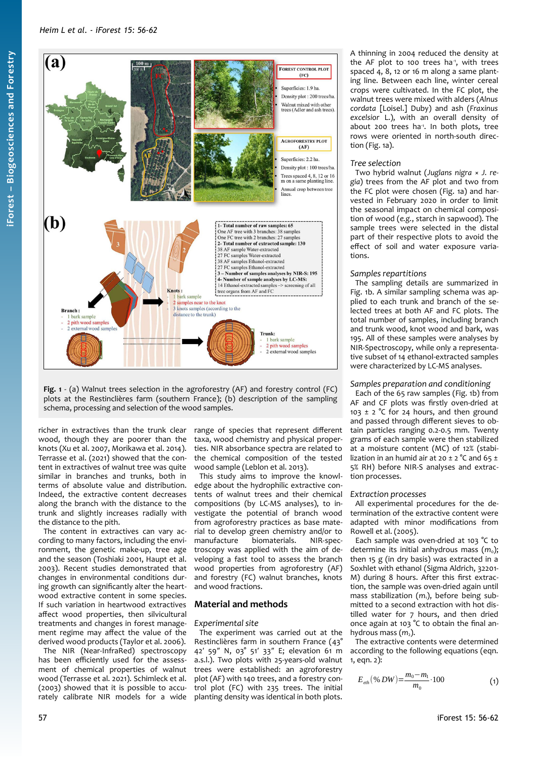

<span id="page-1-0"></span>**Fig. 1** - (a) Walnut trees selection in the agroforestry (AF) and forestry control (FC) plots at the Restinclières farm (southern France); (b) description of the sampling schema, processing and selection of the wood samples.

richer in extractives than the trunk clear wood, though they are poorer than the knots (Xu et al. 2007, Morikawa et al. 2014). Terrasse et al. (2021) showed that the content in extractives of walnut tree was quite similar in branches and trunks, both in terms of absolute value and distribution. Indeed, the extractive content decreases along the branch with the distance to the trunk and slightly increases radially with the distance to the pith.

The content in extractives can vary according to many factors, including the environment, the genetic make-up, tree age and the season (Toshiaki 2001, Haupt et al. 2003). Recent studies demonstrated that changes in environmental conditions during growth can significantly alter the heartwood extractive content in some species. If such variation in heartwood extractives affect wood properties, then silvicultural treatments and changes in forest management regime may affect the value of the derived wood products (Taylor et al. 2006).

The NIR (Near-InfraRed) spectroscopy has been efficiently used for the assessment of chemical properties of walnut wood (Terrasse et al. 2021). Schimleck et al. (2003) showed that it is possible to accurately calibrate NIR models for a wide

range of species that represent different taxa, wood chemistry and physical properties. NIR absorbance spectra are related to the chemical composition of the tested wood sample (Leblon et al. 2013).

This study aims to improve the knowledge about the hydrophilic extractive contents of walnut trees and their chemical compositions (by LC-MS analyses), to investigate the potential of branch wood from agroforestry practices as base material to develop green chemistry and/or to manufacture biomaterials. NIR-spectroscopy was applied with the aim of developing a fast tool to assess the branch wood properties from agroforestry (AF) and forestry (FC) walnut branches, knots and wood fractions.

# **Material and methods**

## *Experimental site*

The experiment was carried out at the Restinclières farm in southern France (43° 42′ 59″ N, 03° 51′ 33″ E; elevation 61 m a.s.l.). Two plots with 25-years-old walnut trees were established: an agroforestry plot (AF) with 140 trees, and a forestry control plot (FC) with 235 trees. The initial planting density was identical in both plots.

A thinning in 2004 reduced the density at the AF plot to 100 trees ha<sup>-1</sup>, with trees spaced 4, 8, 12 or 16 m along a same planting line. Between each line, winter cereal crops were cultivated. In the FC plot, the walnut trees were mixed with alders (*Alnus cordata* [Loisel.] Duby) and ash (*Fraxinus excelsior* L.), with an overall density of about 200 trees ha<sup>-1</sup>. In both plots, tree rows were oriented in north-south direction [\(Fig. 1](#page-1-0)a).

## *Tree selection*

Two hybrid walnut (*Juglans nigra* × *J. regia*) trees from the AF plot and two from the FC plot were chosen ([Fig. 1](#page-1-0)a) and harvested in February 2020 in order to limit the seasonal impact on chemical composition of wood (*e.g.*, starch in sapwood). The sample trees were selected in the distal part of their respective plots to avoid the effect of soil and water exposure variations.

## *Samples repartitions*

The sampling details are summarized in [Fig. 1b](#page-1-0). A similar sampling schema was applied to each trunk and branch of the selected trees at both AF and FC plots. The total number of samples, including branch and trunk wood, knot wood and bark, was 195. All of these samples were analyses by NIR-Spectroscopy, while only a representative subset of 14 ethanol-extracted samples were characterized by LC-MS analyses.

## *Samples preparation and conditioning*

Each of the 65 raw samples ([Fig. 1b](#page-1-0)) from AF and CF plots was firstly oven-dried at 103  $\pm$  2 °C for 24 hours, and then ground and passed through different sieves to obtain particles ranging 0.2-0.5 mm. Twenty grams of each sample were then stabilized at a moisture content (MC) of 12% (stabilization in an humid air at 20  $\pm$  2 °C and 65  $\pm$ 5% RH) before NIR-S analyses and extraction processes.

#### *Extraction processes*

All experimental procedures for the determination of the extractive content were adapted with minor modifications from Rowell et al. (2005).

Each sample was oven-dried at 103 °C to determine its initial anhydrous mass (m<sub>0</sub>); then 15 g (in dry basis) was extracted in a Soxhlet with ethanol (Sigma Aldrich, 32201- M) during 8 hours. After this first extraction, the sample was oven-dried again until mass stabilization (m<sub>1</sub>), before being submitted to a second extraction with hot distilled water for 7 hours, and then dried once again at 103 °C to obtain the final anhydrous mass (m<sub>2</sub>).

The extractive contents were determined according to the following equations (eqn. 1, eqn. 2):

$$
E_{\text{eth}}(\%DW) = \frac{m_0 - m_1}{m_0} \cdot 100\tag{1}
$$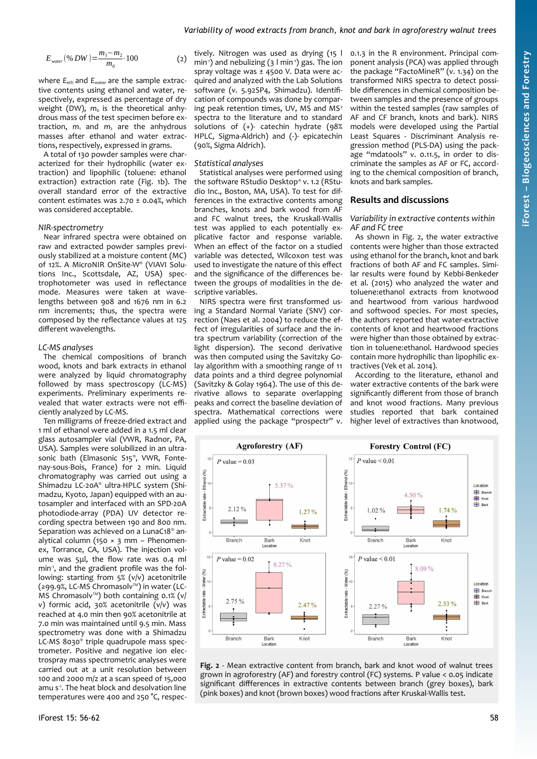$$
E_{\text{water}}(96 \text{ DW}) = \frac{m_1 - m_2}{m_0} \cdot 100
$$

where  $E_{\text{eth}}$  and  $E_{\text{water}}$  are the sample extractive contents using ethanol and water, respectively, expressed as percentage of dry weight (DW),  $m_0$  is the theoretical anhydrous mass of the test specimen before extraction, *m*<sup>1</sup> and *m*2 are the anhydrous masses after ethanol and water extractions, respectively, expressed in grams.

A total of 130 powder samples were characterized for their hydrophilic (water extraction) and lipophilic (toluene: ethanol extraction) extraction rate [\(Fig. 1b](#page-1-0)). The overall standard error of the extractive content estimates was  $2.70 \pm 0.04$ %, which was considered acceptable.

#### *NIR-spectrometry*

Near infrared spectra were obtained on raw and extracted powder samples previously stabilized at a moisture content (MC) of 12%. A MicroNIR OnSite-W® (VIAVI Solutions Inc., Scottsdale, AZ, USA) spectrophotometer was used in reflectance mode. Measures were taken at wavelengths between 908 and 1676 nm in 6.2 nm increments; thus, the spectra were composed by the reflectance values at 125 different wavelengths.

#### *LC-MS analyses*

The chemical compositions of branch wood, knots and bark extracts in ethanol were analyzed by liquid chromatography followed by mass spectroscopy (LC-MS) experiments. Preliminary experiments revealed that water extracts were not efficiently analyzed by LC-MS.

Ten milligrams of freeze-dried extract and 1 ml of ethanol were added in a 1.5 ml clear glass autosampler vial (VWR, Radnor, PA, USA). Samples were solubilized in an ultrasonic bath (Elmasonic S15® , VWR, Fontenay-sous-Bois, France) for 2 min. Liquid chromatography was carried out using a Shimadzu LC-20A® ultra-HPLC system (Shimadzu, Kyoto, Japan) equipped with an autosampler and interfaced with an SPD-20A photodiode-array (PDA) UV detector recording spectra between 190 and 800 nm. Separation was achieved on a LunaC18<sup>®</sup> analytical column (150  $\times$  3 mm - Phenomenex, Torrance, CA, USA). The injection volume was 5μl, the flow rate was 0.4 ml min<sup>-1</sup>, and the gradient profile was the following: starting from 5% (v/v) acetonitrile (≥99.9%, LC-MS Chromasolv™) in water (LC-MS Chromasolv™) both containing 0.1% (v/ v) formic acid, 30% acetonitrile (v/v) was reached at 4.0 min then 90% acetonitrile at 7.0 min was maintained until 9.5 min. Mass spectrometry was done with a Shimadzu LC-MS 8030® triple quadrupole mass spectrometer. Positive and negative ion electrospray mass spectrometric analyses were carried out at a unit resolution between 100 and 2000 m/z at a scan speed of 15,000 amu s<sup>1</sup>. The heat block and desolvation line temperatures were 400 and 250 °C, respectively. Nitrogen was used as drying (15 l min<sup>-1</sup>) and nebulizing ( $3 \text{ l min}^{-1}$ ) gas. The ion spray voltage was ± 4500 V. Data were acquired and analyzed with the Lab Solutions software (v. 5.92SP4, Shimadzu). Identification of compounds was done by comparing peak retention times, UV, MS and MS<sup>2</sup> spectra to the literature and to standard solutions of (+)- catechin hydrate (98% HPLC, Sigma-Aldrich) and (-)- epicatechin (90%, Sigma Aldrich).

#### *Statistical analyses*

(2)

Statistical analyses were performed using the software RStudio Desktop® v. 1.2 (RStudio Inc., Boston, MA, USA). To test for differences in the extractive contents among branches, knots and bark wood from AF and FC walnut trees, the Kruskall-Wallis test was applied to each potentially explicative factor and response variable. When an effect of the factor on a studied variable was detected, Wilcoxon test was used to investigate the nature of this effect and the significance of the differences between the groups of modalities in the descriptive variables.

NIRS spectra were first transformed using a Standard Normal Variate (SNV) correction (Naes et al. 2004) to reduce the effect of irregularities of surface and the intra spectrum variability (correction of the light dispersion). The second derivative was then computed using the Savitzky Golay algorithm with a smoothing range of 11 data points and a third degree polynomial (Savitzky & Golay 1964). The use of this derivative allows to separate overlapping peaks and correct the baseline deviation of spectra. Mathematical corrections were applied using the package "prospectr" v. 0.1.3 in the R environment. Principal component analysis (PCA) was applied through the package "FactoMineR" (v. 1.34) on the transformed NIRS spectra to detect possible differences in chemical composition between samples and the presence of groups within the tested samples (raw samples of AF and CF branch, knots and bark). NIRS models were developed using the Partial Least Squares - Discriminant Analysis regression method (PLS-DA) using the package "mdatools" v. 0.11.5, in order to discriminate the samples as AF or FC, according to the chemical composition of branch, knots and bark samples.

## **Results and discussions**

*Variability in extractive contents within AF and FC tree*

As shown in [Fig. 2](#page-2-0), the water extractive contents were higher than those extracted using ethanol for the branch, knot and bark fractions of both AF and FC samples. Similar results were found by Kebbi-Benkeder et al. (2015) who analyzed the water and toluene:ethanol extracts from knotwood and heartwood from various hardwood and softwood species. For most species, the authors reported that water-extractive contents of knot and heartwood fractions were higher than those obtained by extraction in toluene:ethanol. Hardwood species contain more hydrophilic than lipophilic extractives (Vek et al. 2014).

According to the literature, ethanol and water extractive contents of the bark were significantly different from those of branch and knot wood fractions. Many previous studies reported that bark contained higher level of extractives than knotwood,



<span id="page-2-0"></span>**Fig. 2** - Mean extractive content from branch, bark and knot wood of walnut trees grown in agroforestry (AF) and forestry control (FC) systems. P value < 0.05 indicate significant diffferences in extractive contents between branch (grey boxes), bark (pink boxes) and knot (brown boxes) wood fractions after Kruskal-Wallis test.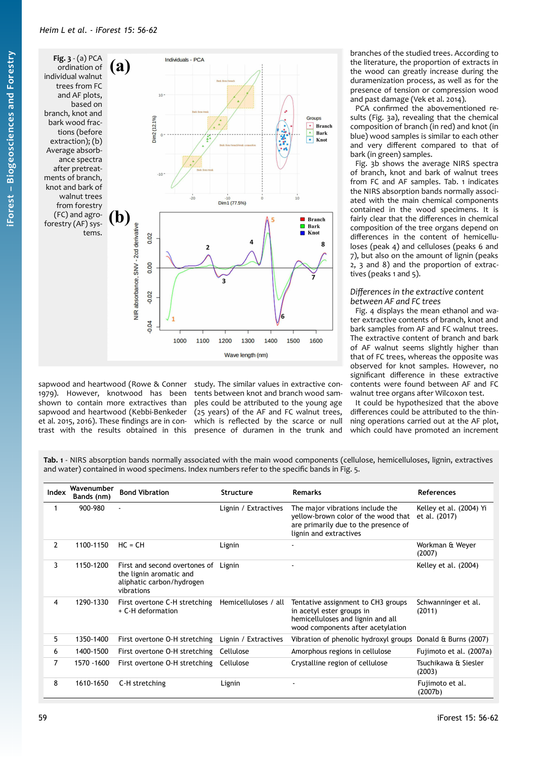<span id="page-3-1"></span>

sapwood and heartwood (Rowe & Conner 1979). However, knotwood has been shown to contain more extractives than sapwood and heartwood (Kebbi-Benkeder et al. 2015, 2016). These findings are in contrast with the results obtained in this

study. The similar values in extractive contents between knot and branch wood samples could be attributed to the young age (25 years) of the AF and FC walnut trees, which is reflected by the scarce or null presence of duramen in the trunk and

branches of the studied trees. According to the literature, the proportion of extracts in the wood can greatly increase during the duramenization process, as well as for the presence of tension or compression wood and past damage (Vek et al. 2014).

PCA confirmed the abovementioned results [\(Fig. 3](#page-3-1)a), revealing that the chemical composition of branch (in red) and knot (in blue) wood samples is similar to each other and very different compared to that of bark (in green) samples.

[Fig. 3](#page-3-1)b shows the average NIRS spectra of branch, knot and bark of walnut trees from FC and AF samples. [Tab. 1](#page-3-0) indicates the NIRS absorption bands normally associated with the main chemical components contained in the wood specimens. It is fairly clear that the differences in chemical composition of the tree organs depend on differences in the content of hemicelluloses (peak 4) and celluloses (peaks 6 and 7), but also on the amount of lignin (peaks 2, 3 and 8) and the proportion of extractives (peaks 1 and 5).

## *Differences in the extractive content between AF and FC trees*

[Fig. 4](#page-4-0) displays the mean ethanol and water extractive contents of branch, knot and bark samples from AF and FC walnut trees. The extractive content of branch and bark of AF walnut seems slightly higher than that of FC trees, whereas the opposite was observed for knot samples. However, no significant difference in these extractive contents were found between AF and FC walnut tree organs after Wilcoxon test.

It could be hypothesized that the above differences could be attributed to the thinning operations carried out at the AF plot, which could have promoted an increment

<span id="page-3-0"></span>**Tab. 1** - NIRS absorption bands normally associated with the main wood components (cellulose, hemicelluloses, lignin, extractives and water) contained in wood specimens. Index numbers refer to the specific bands in Fig. 5.

| Index          | Wavenumber<br>Bands (nm) | <b>Bond Vibration</b>                                                                                      | <b>Structure</b>     | <b>Remarks</b>                                                                                                                            | <b>References</b>                        |
|----------------|--------------------------|------------------------------------------------------------------------------------------------------------|----------------------|-------------------------------------------------------------------------------------------------------------------------------------------|------------------------------------------|
|                | 900-980                  | $\blacksquare$                                                                                             | Lignin / Extractives | The major vibrations include the<br>yellow-brown color of the wood that<br>are primarily due to the presence of<br>lignin and extractives | Kelley et al. (2004) Yi<br>et al. (2017) |
| $\mathbf{2}$   | 1100-1150                | $HC = CH$                                                                                                  | Lignin               | ٠                                                                                                                                         | Workman & Weyer<br>(2007)                |
| 3              | 1150-1200                | First and second overtones of Lignin<br>the lignin aromatic and<br>aliphatic carbon/hydrogen<br>vibrations |                      |                                                                                                                                           | Kelley et al. (2004)                     |
| 4              | 1290-1330                | First overtone C-H stretching<br>+ C-H deformation                                                         | Hemicelluloses / all | Tentative assignment to CH3 groups<br>in acetyl ester groups in<br>hemicelluloses and lignin and all<br>wood components after acetylation | Schwanninger et al.<br>(2011)            |
| 5              | 1350-1400                | First overtone O-H stretching                                                                              | Lignin / Extractives | Vibration of phenolic hydroxyl groups                                                                                                     | Donald & Burns (2007)                    |
| 6              | 1400-1500                | First overtone O-H stretching                                                                              | Cellulose            | Amorphous regions in cellulose                                                                                                            | Fujimoto et al. (2007a)                  |
| $\overline{7}$ | 1570 - 1600              | First overtone O-H stretching                                                                              | Cellulose            | Crystalline region of cellulose                                                                                                           | Tsuchikawa & Siesler<br>(2003)           |
| 8              | 1610-1650                | C-H stretching                                                                                             | Lignin               |                                                                                                                                           | Fujimoto et al.<br>(2007b)               |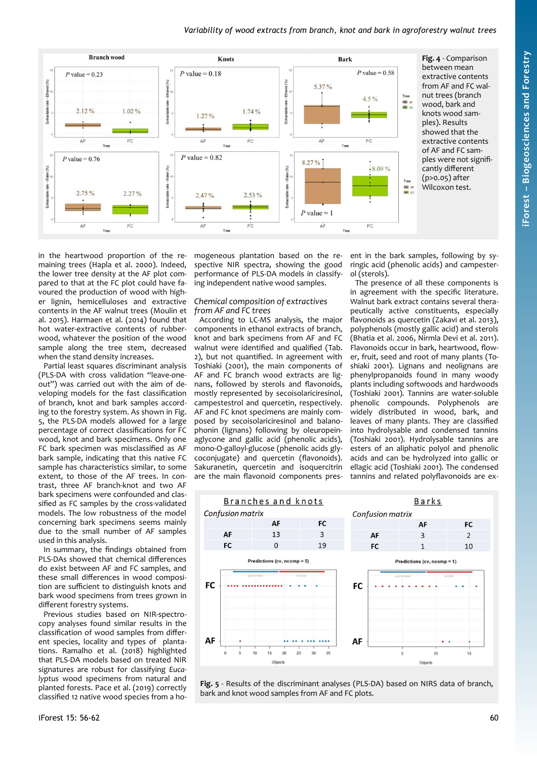## *Variability of wood extracts from branch, knot and bark in agroforestry walnut trees*



<span id="page-4-0"></span>**Fig. 4** - Comparison between mean extractive contents from AF and FC walnut trees (branch wood, bark and knots wood samples). Results showed that the extractive contents of AF and FC samples were not significantly different (p>0.05) after Wilcoxon test.

in the heartwood proportion of the remaining trees (Hapla et al. 2000). Indeed, the lower tree density at the AF plot compared to that at the FC plot could have favoured the production of wood with higher lignin, hemicelluloses and extractive contents in the AF walnut trees (Moulin et al. 2015). Harmaen et al. (2014) found that hot water-extractive contents of rubberwood, whatever the position of the wood sample along the tree stem, decreased when the stand density increases.

Partial least squares discriminant analysis (PLS-DA with cross validation "leave-oneout") was carried out with the aim of developing models for the fast classification of branch, knot and bark samples according to the forestry system. As shown in [Fig.](#page-4-1) [5](#page-4-1), the PLS-DA models allowed for a large percentage of correct classifications for FC wood, knot and bark specimens. Only one FC bark specimen was misclassified as AF bark sample, indicating that this native FC sample has characteristics similar, to some extent, to those of the AF trees. In contrast, three AF branch-knot and two AF bark specimens were confounded and classified as FC samples by the cross-validated models. The low robustness of the model concerning bark specimens seems mainly due to the small number of AF samples used in this analysis.

In summary, the findings obtained from PLS-DAs showed that chemical differences do exist between AF and FC samples, and these small differences in wood composition are sufficient to distinguish knots and bark wood specimens from trees grown in different forestry systems.

Previous studies based on NIR-spectrocopy analyses found similar results in the classification of wood samples from different species, locality and types of plantations. Ramalho et al. (2018) highlighted that PLS-DA models based on treated NIR signatures are robust for classifying *Eucalyptus* wood specimens from natural and planted forests. Pace et al. (2019) correctly classified 12 native wood species from a homogeneous plantation based on the respective NIR spectra, showing the good performance of PLS-DA models in classifying independent native wood samples.

#### *Chemical composition of extractives from AF and FC trees*

According to LC-MS analysis, the major components in ethanol extracts of branch, knot and bark specimens from AF and FC walnut were identified and qualified ([Tab.](#page-5-0) [2\)](#page-5-0), but not quantified. In agreement with Toshiaki (2001), the main components of AF and FC branch wood extracts are lignans, followed by sterols and flavonoids, mostly represented by secoisolariciresinol, campestestrol and quercetin, respectively. AF and FC knot specimens are mainly composed by secoisolariciresinol and balanophonin (lignans) following by oleuropeinaglycone and gallic acid (phenolic acids), mono-O-galloyl-glucose (phenolic acids glycoconjugate) and quercetin (flavonoids). Sakuranetin, quercetin and isoquercitrin are the main flavonoid components present in the bark samples, following by syringic acid (phenolic acids) and campesterol (sterols).

The presence of all these components is in agreement with the specific literature. Walnut bark extract contains several therapeutically active constituents, especially flavonoids as quercetin (Zakavi et al. 2013), polyphenols (mostly gallic acid) and sterols (Bhatia et al. 2006, Nirmla Devi et al. 2011). Flavonoids occur in bark, heartwood, flower, fruit, seed and root of many plants (Toshiaki 2001). Lignans and neolignans are phenylpropanoids found in many woody plants including softwoods and hardwoods (Toshiaki 2001). Tannins are water-soluble phenolic compounds. Polyphenols are widely distributed in wood, bark, and leaves of many plants. They are classified into hydrolysable and condensed tannins (Toshiaki 2001). Hydrolysable tannins are esters of an aliphatic polyol and phenolic acids and can be hydrolyzed into gallic or ellagic acid (Toshiaki 2001). The condensed tannins and related polyflavonoids are ex-



<span id="page-4-1"></span>**Fig. 5** - Results of the discriminant analyses (PLS-DA) based on NIRS data of branch, bark and knot wood samples from AF and FC plots.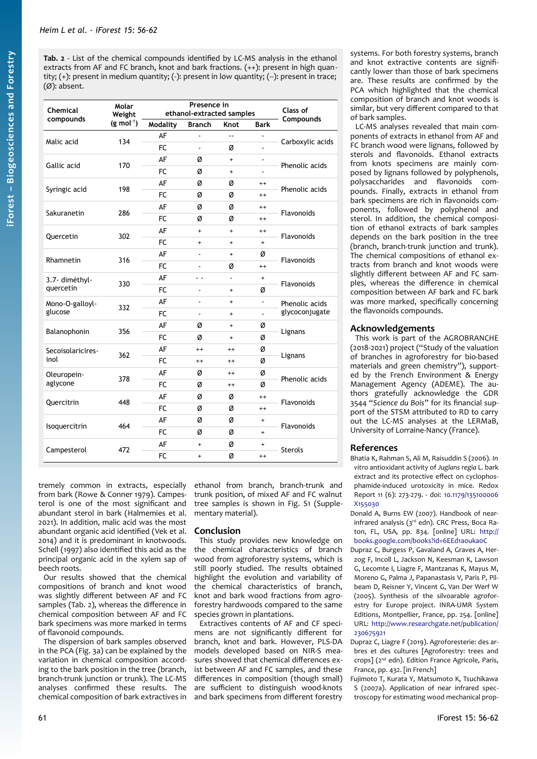<span id="page-5-0"></span>**Tab. 2** - List of the chemical compounds identified by LC-MS analysis in the ethanol extracts from AF and FC branch, knot and bark fractions. (++): present in high quantity; (+): present in medium quantity; (-): present in low quantity; (--): present in trace; (Ø): absent.

| Chemical          | Molar<br>Weight        | Presence in<br>ethanol-extracted samples |                |                          |                | Class of                         |
|-------------------|------------------------|------------------------------------------|----------------|--------------------------|----------------|----------------------------------|
| compounds         | $(g \text{ mol}^{-1})$ | <b>Modality</b>                          | <b>Branch</b>  | Knot                     | <b>Bark</b>    | Compounds                        |
| Malic acid        | 134                    | AF                                       | ÷,             | $\overline{\phantom{a}}$ |                | Carboxylic acids                 |
|                   |                        | FC                                       | $\blacksquare$ | ø                        |                |                                  |
|                   | 170                    | AF                                       | ø              | $+$                      |                | Phenolic acids                   |
| Gallic acid       |                        | FC.                                      | ø              | $\ddot{}$                |                |                                  |
|                   | 198                    | AF                                       | Ø              | Ø                        | $^{++}$        | Phenolic acids                   |
| Syringic acid     |                        | FC                                       | Ø              | Ø                        | $^{++}$        |                                  |
| Sakuranetin       | 286                    | AF                                       | ø              | Ø                        | $^{++}$        | Flavonoids                       |
|                   |                        | <b>FC</b>                                | Ø              | Ø                        | $^{++}$        |                                  |
|                   |                        | AF                                       | $+$            | $+$                      | $^{++}$        | Flavonoids                       |
| Quercetin         | 302                    | <b>FC</b>                                | $+$            | $+$                      | $+$            |                                  |
| Rhamnetin         | 316                    | AF                                       | ä,             | $\ddot{}$                | Ø              | Flavonoids                       |
|                   |                        | FC.                                      |                | Ø                        | $^{++}$        |                                  |
| 3.7- diméthyl-    | 330                    | AF                                       | . .            | ä,                       | $\ddot{}$      | Flavonoids                       |
| quercetin         |                        | FC                                       | $\blacksquare$ | +                        | Ø              |                                  |
| Mono-O-galloyl-   | 332                    | AF                                       |                | $\ddot{}$                |                | Phenolic acids<br>glycoconjugate |
| glucose           |                        | FC                                       |                | $+$                      | $\blacksquare$ |                                  |
|                   | 356                    | AF                                       | Ø              | $\ddot{}$                | Ø              | Lignans                          |
| Balanophonin      |                        | FC.                                      | ø              | $\ddot{}$                | ø              |                                  |
| Secoisolaricires- | 362                    | AF                                       | $^{++}$        | $^{++}$                  | ø              | Lignans                          |
| inol              |                        | <b>FC</b>                                | $^{++}$        | $^{++}$                  | Ø              |                                  |
| Oleuropein-       | 378                    | AF                                       | ø              | $^{++}$                  | ø              | Phenolic acids                   |
| aglycone          |                        | FC.                                      | ø              | $^{++}$                  | Ø              |                                  |
| Quercitrin        | 448                    | AF                                       | Ø              | ø                        | $^{++}$        | Flavonoids                       |
|                   |                        | FC                                       | Ø              | Ø                        | $^{++}$        |                                  |
|                   | 464                    | AF                                       | Ø              | Ø                        | $\ddot{}$      | Flavonoids                       |
| Isoquercitrin     |                        | FC.                                      | ø              | Ø                        | $\ddot{}$      |                                  |
|                   | 472                    | AF                                       | +              | ø                        | +              | <b>Sterols</b>                   |
| Campesterol       |                        | FC                                       | $\ddot{}$      | Ø                        | $^{++}$        |                                  |

tremely common in extracts, especially from bark (Rowe & Conner 1979). Campesterol is one of the most significant and abundant sterol in bark (Halmemies et al. 2021). In addition, malic acid was the most abundant organic acid identified (Vek et al. 2014) and it is predominant in knotwoods. Schell (1997) also identified this acid as the principal organic acid in the xylem sap of beech roots.

Our results showed that the chemical compositions of branch and knot wood was slightly different between AF and FC samples [\(Tab. 2\)](#page-5-0), whereas the difference in chemical composition between AF and FC bark specimens was more marked in terms of flavonoid compounds.

The dispersion of bark samples observed in the PCA [\(Fig. 3](#page-3-1)a) can be explained by the variation in chemical composition according to the bark position in the tree (branch, branch-trunk junction or trunk). The LC-MS analyses confirmed these results. The chemical composition of bark extractives in ethanol from branch, branch-trunk and trunk position, of mixed AF and FC walnut tree samples is shown in Fig. S1 (Supplementary material).

# **Conclusion**

This study provides new knowledge on the chemical characteristics of branch wood from agroforestry systems, which is still poorly studied. The results obtained highlight the evolution and variability of the chemical characteristics of branch, knot and bark wood fractions from agroforestry hardwoods compared to the same species grown in plantations.

Extractives contents of AF and CF specimens are not significantly different for branch, knot and bark. However, PLS-DA models developed based on NIR-S measures showed that chemical differences exist between AF and FC samples, and these differences in composition (though small) are sufficient to distinguish wood-knots and bark specimens from different forestry

systems. For both forestry systems, branch and knot extractive contents are significantly lower than those of bark specimens are. These results are confirmed by the PCA which highlighted that the chemical composition of branch and knot woods is similar, but very different compared to that of bark samples.

LC-MS analyses revealed that main components of extracts in ethanol from AF and FC branch wood were lignans, followed by sterols and flavonoids. Ethanol extracts from knots specimens are mainly composed by lignans followed by polyphenols, polysaccharides and flavonoids compounds. Finally, extracts in ethanol from bark specimens are rich in flavonoids components, followed by polyphenol and sterol. In addition, the chemical composition of ethanol extracts of bark samples depends on the bark position in the tree (branch, branch-trunk junction and trunk). The chemical compositions of ethanol extracts from branch and knot woods were slightly different between AF and FC samples, whereas the difference in chemical composition between AF bark and FC bark was more marked, specifically concerning the flavonoids compounds.

# **Acknowledgements**

This work is part of the AGROBRANCHE (2018-2021) project ("Study of the valuation of branches in agroforestry for bio-based materials and green chemistry"), supported by the French Environment & Energy Management Agency (ADEME). The authors gratefully acknowledge the GDR 3544 "*Science du Bois*" for its financial support of the STSM attributed to RD to carry out the LC-MS analyses at the LERMaB, University of Lorraine-Nancy (France).

# **References**

Bhatia K, Rahman S, Ali M, Raisuddin S (2006). *In vitro* antioxidant activity of *Juglans regia* L. bark extract and its protective effect on cyclophosphamide-induced urotoxicity in mice. Redox Report 11 (6): 273-279. - doi: [10.1179/135100006](https://doi.org/10.1179/135100006X155030) [X155030](https://doi.org/10.1179/135100006X155030)

Donald A, Burns EW (2007). Handbook of nearinfrared analysis (3rd edn). CRC Press, Boca Raton, FL, USA, pp. 834. [online] URL: [http://](http://books.google.com/books?id=6EEd1a0uka0C) [books.google.com/books?id=6EEd1a0uka0C](http://books.google.com/books?id=6EEd1a0uka0C)

Dupraz C, Burgess P, Gavaland A, Graves A, Herzog F, Incoll L, Jackson N, Keesman K, Lawson G, Lecomte I, Liagre F, Mantzanas K, Mayus M, Moreno G, Palma J, Papanastasis V, Paris P, Pilbeam D, Reisner Y, Vincent G, Van Der Werf W (2005). Synthesis of the silvoarable agroforestry for Europe project. INRA-UMR System Editions, Montpellier, France, pp. 254. [online] URL: [http://www.researchgate.net/publication/](http://www.researchgate.net/publication/230675921) [230675921](http://www.researchgate.net/publication/230675921)

Dupraz C, Liagre F (2019). Agroforesterie: des arbres et des cultures [Agroforestry: trees and crops] (2nd edn). Edition France Agricole, Paris, France, pp. 432. [in French]

Fujimoto T, Kurata Y, Matsumoto K, Tsuchikawa S (2007a). Application of near infrared spectroscopy for estimating wood mechanical prop